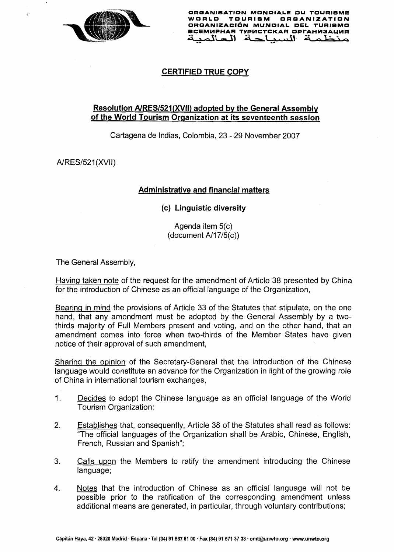

e

ORGANISATION MONDIALE DU TOURIS<br>WORLD TOURISM ORGANIZATI WORLD TOURISM ORGANIZATION ORGANIZACIÓN MUNDIAL DEL TURISMO BEMUPHAR TYPUCTCKAR OPTAHИЗАЦ<br>خلمة السيماحة الحالم  $i$   $i$   $j$   $k$   $k$   $j$   $k$   $k$   $j$ 

## CERTIFIED TRUE COPY

## Resolution A/RES/521(XVII) adopted by the General Assembly of the World Tourism Orqanization at its seventeenth session

Cartagena de Indias, Colombia, 23 - 29 November 2007

A/RES/521(XVII)

## Administrative and financial matters

(c) Linguistic diversity

Agenda item 5(c)  $(document A/17/5(c))$ 

The General Assembly,

Havinq taken note of the request for the amendment of Article 38 presented by China for the introduction of Chinese as an official language of the Organization,

Bearing in mind the provisions of Article 33 of the Statutes that stipulate, on the one hand, that any amendment must be adopted by the General Assembly by a twothirds majority of Full Members present and voting, and on the other hand, that an amendment comes into force when two-thirds of the Member States have given notice of their approval of such amendment, Calls upon the Members of the Members to reach the Solid Engine of the Members to reach the Members of the Members of the Members of the Members of the Members of the Members of the Members of the Members of the Members of

Sharinq the opinion of the Secretary-General that the introduction of the Chinese language would constitute an advance for the Organization in light of the growing role of China in international tourism exchanges,

- $1<sub>1</sub>$ Decides to adopt the Chinese language as an official language of the World Tourism Organization;
- 2. Establishes that, consequently, Article 38 of the Statutes shall read as follows: "The official languages of the Organization shall be Arabic, Chinese, English, French, Russian and Spanish";
- 3. language;
- 4. Notes that the introduction of Chinese as an official language will not be possible prior to the ratification of the corresponding amendment uniess additional means are generated, in particular, through voluntary contributions;